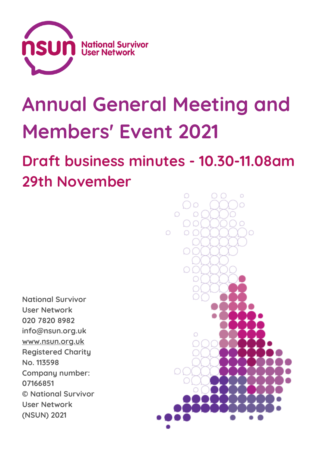

# **Annual General Meeting and Members' Event 2021**

# **Draft business minutes - 10.30-11.08am 29th November**

**National Survivor User Network 020 7820 8982 info@nsun.org.uk [www.nsun.org.uk](http://www.nsun.org.uk/) Registered Charity No. 113598 Company number: 07166851 © National Survivor User Network (NSUN) 2021**

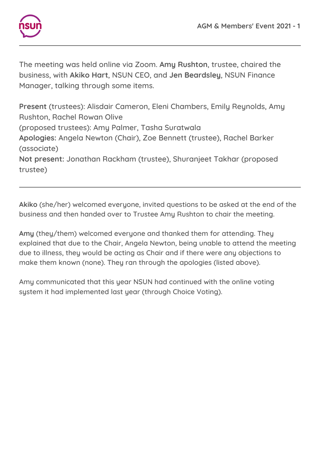

The meeting was held online via Zoom. **Amy Rushton**, trustee, chaired the business, with **Akiko Hart**, NSUN CEO, and **Jen Beardsley**, NSUN Finance Manager, talking through some items.

**Present** (trustees): Alisdair Cameron, Eleni Chambers, Emily Reynolds, Amy Rushton, Rachel Rowan Olive (proposed trustees): Amy Palmer, Tasha Suratwala **Apologies:** Angela Newton (Chair), Zoe Bennett (trustee), Rachel Barker (associate) **Not present:** Jonathan Rackham (trustee), Shuranjeet Takhar (proposed trustee)

**Akiko** (she/her) welcomed everyone, invited questions to be asked at the end of the business and then handed over to Trustee Amy Rushton to chair the meeting.

**Amy** (they/them) welcomed everyone and thanked them for attending. They explained that due to the Chair, Angela Newton, being unable to attend the meeting due to illness, they would be acting as Chair and if there were any objections to make them known (none). They ran through the apologies (listed above).

Amy communicated that this year NSUN had continued with the online voting system it had implemented last year (through Choice Voting).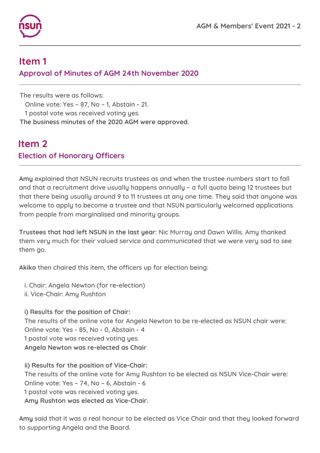

#### **Item 1 Approval of Minutes of AGM 24th November 2020**

The results were as follows:

Online vote: Yes – 87, No – 1, Abstain - 21.

1 postal vote was received voting yes.

**The business minutes of the 2020 AGM were approved.**

# **Item 2 Election of Honorary Officers**

**Amy** explained that NSUN recruits trustees as and when the trustee numbers start to fall and that a recruitment drive usually happens annually – a full quota being 12 trustees but that there being usually around 9 to 11 trustees at any one time. They said that anyone was welcome to apply to become a trustee and that NSUN particularly welcomed applications from people from marginalised and minority groups.

**Trustees that had left NSUN in the last year**: Nic Murray and Dawn Willis. Amy thanked them very much for their valued service and communicated that we were very sad to see them go.

**Akiko** then chaired this item, the officers up for election being:

i. Chair: Angela Newton (for re-election)

ii. Vice-Chair: Amy Rushton

**i) Results for the position of Chair:** The results of the online vote for Angela Newton to be re-elected as NSUN chair were: Online vote: Yes - 85, No - 0, Abstain - 4 1 postal vote was received voting yes. **Angela Newton was re-elected as Chair**

**ii) Results for the position of Vice-Chair:** The results of the online vote for Amy Rushton to be elected as NSUN Vice-Chair were: Online vote: Yes – 74, No – 6, Abstain - 6 1 postal vote was received voting yes. **Amy Rushton was elected as Vice-Chair.**

**Amy** said that it was a real honour to be elected as Vice Chair and that they looked forward to supporting Angela and the Board.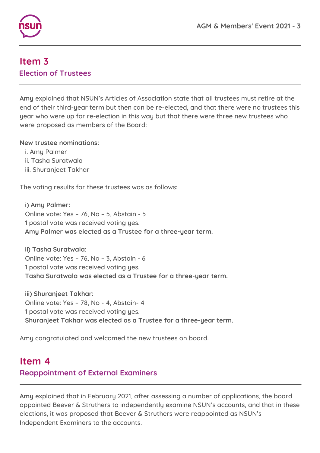

#### **Item 3 Election of Trustees**

**Amy** explained that NSUN's Articles of Association state that all trustees must retire at the end of their third-year term but then can be re-elected, and that there were no trustees this year who were up for re-election in this way but that there were three new trustees who were proposed as members of the Board:

**New trustee nominations:**

- i. Amy Palmer
- ii. Tasha Suratwala
- iii. Shuranjeet Takhar

The voting results for these trustees was as follows:

**i) Amy Palmer:** Online vote: Yes – 76, No – 5, Abstain - 5 1 postal vote was received voting yes. **Amy Palmer was elected as a Trustee for a three-year term.**

**ii) Tasha Suratwala:** Online vote: Yes – 76, No – 3, Abstain - 6 1 postal vote was received voting yes. **Tasha Suratwala was elected as a Trustee for a three-year term.**

**iii) Shuranjeet Takhar:** Online vote: Yes – 78, No - 4, Abstain- 4 1 postal vote was received voting yes. **Shuranjeet Takhar was elected as a Trustee for a three-year term.**

Amy congratulated and welcomed the new trustees on board.

### **Item 4 Reappointment of External Examiners**

**Amy** explained that in February 2021, after assessing a number of applications, the board appointed Beever & Struthers to independently examine NSUN's accounts, and that in these elections, it was proposed that Beever & Struthers were reappointed as NSUN's Independent Examiners to the accounts.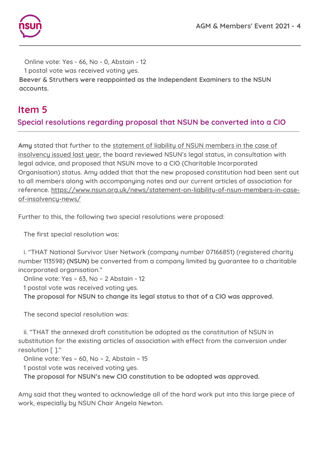

Online vote: Yes - 66, No - 0, Abstain - 12 1 postal vote was received voting yes. **Beever & Struthers were reappointed as the Independent Examiners to the NSUN accounts.**

#### **Item 5**

#### **Special resolutions regarding proposal that NSUN be converted into a CIO**

**Amy** stated that further to the [statement](https://www.nsun.org.uk/news/statement-on-liability-of-nsun-members-in-case-of-insolvency-news/) of liability of NSUN members in the case of [insolvency](https://www.nsun.org.uk/news/statement-on-liability-of-nsun-members-in-case-of-insolvency-news/) issued last year, the board reviewed NSUN's legal status, in consultation with legal advice, and proposed that NSUN move to a CIO (Charitable Incorporated Organisation) status. Amy added that that the new proposed constitution had been sent out to all members along with accompanying notes and our current articles of association for reference. [https://www.nsun.org.uk/news/statement-on-liability-of-nsun-members-in-case](https://www.nsun.org.uk/news/statement-on-liability-of-nsun-members-in-case-of-insolvency-news/)[of-insolvency-news/](https://www.nsun.org.uk/news/statement-on-liability-of-nsun-members-in-case-of-insolvency-news/)

Further to this, the following two special resolutions were proposed:

The first special resolution was:

i. "THAT National Survivor User Network (company number 07166851) (registered charity number 113598) **(NSUN)** be converted from a company limited by guarantee to a charitable incorporated organisation."

Online vote: Yes – 63, No – 2 Abstain - 12

1 postal vote was received voting yes.

**The proposal for NSUN to change its legal status to that of a CIO was approved.**

The second special resolution was:

ii. "THAT the annexed draft constitution be adopted as the constitution of NSUN in substitution for the existing articles of association with effect from the conversion under resolution [ ]."

Online vote: Yes – 60, No – 2, Abstain – 15

1 postal vote was received voting yes.

**The proposal for NSUN's new CIO constitution to be adopted was approved.**

Amy said that they wanted to acknowledge all of the hard work put into this large piece of work, especially by NSUN Chair Angela Newton.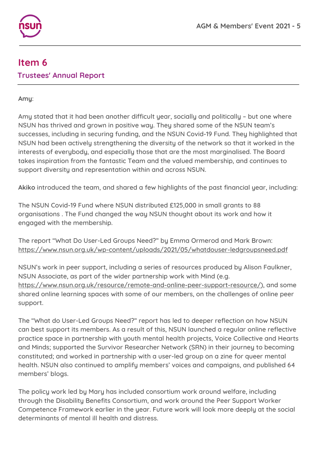

# **Item 6 Trustees' Annual Report**

**Amy**:

Amy stated that it had been another difficult year, socially and politically – but one where NSUN has thrived and grown in positive way. They shared some of the NSUN team's successes, including in securing funding, and the NSUN Covid-19 Fund. They highlighted that NSUN had been actively strengthening the diversity of the network so that it worked in the interests of everybody, and especially those that are the most marginalised. The Board takes inspiration from the fantastic Team and the valued membership, and continues to support diversity and representation within and across NSUN.

**Akiko** introduced the team, and shared a few highlights of the past financial year, including:

The NSUN Covid-19 Fund where NSUN distributed £125,000 in small grants to 88 organisations . The Fund changed the way NSUN thought about its work and how it engaged with the membership.

The report "What Do [User-Led](https://www.nsun.org.uk/wp-content/uploads/2021/05/whatdouser-ledgroupsneed.pdf) Groups Need?" by Emma Ormerod and Mark Brown: <https://www.nsun.org.uk/wp-content/uploads/2021/05/whatdouser-ledgroupsneed.pdf>

NSUN's work in peer support, including a series of resources produced by Alison Faulkner, NSUN Associate, as part of the wider partnership work with Mind (e.g. <https://www.nsun.org.uk/resource/remote-and-online-peer-support-resource/>), and some shared online learning spaces with some of our members, on the challenges of online peer support.

The "What do User-Led Groups Need?" report has led to deeper reflection on how NSUN can best support its members. As a result of this, NSUN launched a regular online reflective practice space in partnership with youth mental health projects, Voice Collective and Hearts and Minds; supported the Survivor Researcher Network (SRN) in their journey to becoming constituted; and worked in partnership with a user-led group on a zine for queer mental health. NSUN also continued to amplify members' voices and campaigns, and published 64 members' blogs.

The policy work led by Mary has included consortium work around welfare, including through the Disability Benefits Consortium, and work around the Peer Support Worker Competence Framework earlier in the year. Future work will look more deeply at the social determinants of mental ill health and distress.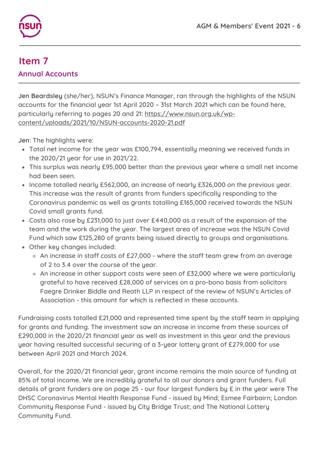

#### **Item 7 Annual Accounts**

**Jen Beardsley** (she/her), NSUN's Finance Manager, ran through the highlights of the NSUN accounts for the financial year 1st April 2020 – 31st March 2021 which can be found here, particularly referring to pages 20 and 21: [https://www.nsun.org.uk/wp](https://www.nsun.org.uk/wp-content/uploads/2021/10/NSUN-accounts-2020-21.pdf)[content/uploads/2021/10/NSUN-accounts-2020-21.pdf](https://www.nsun.org.uk/wp-content/uploads/2021/10/NSUN-accounts-2020-21.pdf)

**Jen**: The highlights were:

- Total net income for the year was £100,794, essentially meaning we received funds in the 2020/21 year for use in 2021/22.
- This surplus was nearly £95,000 better than the previous year where a small net income had been seen.
- Income totalled nearly £562,000, an increase of nearly £326,000 on the previous year. This increase was the result of grants from funders specifically responding to the Coronavirus pandemic as well as grants totalling £165,000 received towards the NSUN Covid small grants fund.
- Costs also rose by £231,000 to just over £440,000 as a result of the expansion of the team and the work during the year. The largest area of increase was the NSUN Covid Fund which saw £125,280 of grants being issued directly to groups and organisations.
- Other key changes included:
	- An increase in staff costs of £27,000 where the staff team grew from an average of 2 to 3.4 over the course of the year.
	- An increase in other support costs were seen of £32,000 where we were particularly grateful to have received £28,000 of services on a pro-bono basis from solicitors Faegre Drinker Biddle and Reath LLP in respect of the review of NSUN's Articles of Association - this amount for which is reflected in these accounts.

Fundraising costs totalled £21,000 and represented time spent by the staff team in applying for grants and funding. The investment saw an increase in income from these sources of £290,000 in the 2020/21 financial year as well as investment in this year and the previous year having resulted successful securing of a 3-year lottery grant of £279,000 for use between April 2021 and March 2024.

Overall, for the 2020/21 financial year, grant income remains the main source of funding at 85% of total income. We are incredibly grateful to all our donors and grant funders. Full details of grant funders are on page 25 - our four largest funders by £ in the year were The DHSC Coronavirus Mental Health Response Fund - issued by Mind; Esmee Fairbairn; London Community Response Fund - issued by City Bridge Trust; and The National Lottery Community Fund.